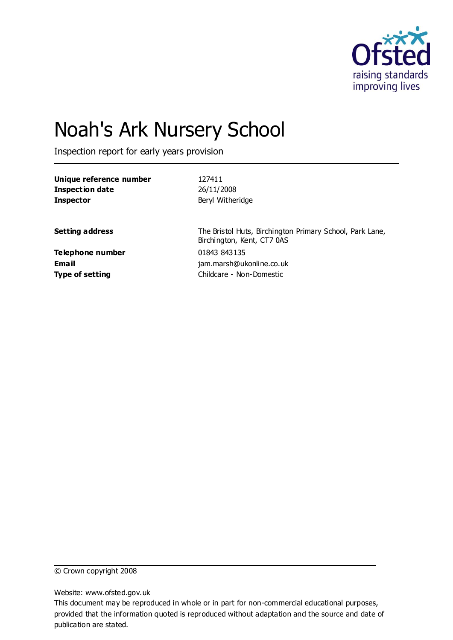

# Noah's Ark Nursery School

Inspection report for early years provision

| Unique reference number | 127411                                                                                 |
|-------------------------|----------------------------------------------------------------------------------------|
| <b>Inspection date</b>  | 26/11/2008                                                                             |
| <b>Inspector</b>        | Beryl Witheridge                                                                       |
| <b>Setting address</b>  | The Bristol Huts, Birchington Primary School, Park Lane,<br>Birchington, Kent, CT7 0AS |
| Telephone number        | 01843 843135                                                                           |
| Email                   | jam.marsh@ukonline.co.uk                                                               |
| <b>Type of setting</b>  | Childcare - Non-Domestic                                                               |

© Crown copyright 2008

Website: www.ofsted.gov.uk

This document may be reproduced in whole or in part for non-commercial educational purposes, provided that the information quoted is reproduced without adaptation and the source and date of publication are stated.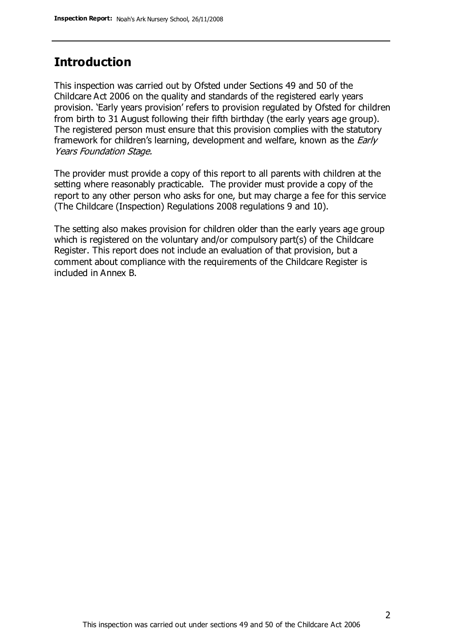### **Introduction**

This inspection was carried out by Ofsted under Sections 49 and 50 of the Childcare Act 2006 on the quality and standards of the registered early years provision. 'Early years provision' refers to provision regulated by Ofsted for children from birth to 31 August following their fifth birthday (the early years age group). The registered person must ensure that this provision complies with the statutory framework for children's learning, development and welfare, known as the *Early* Years Foundation Stage.

The provider must provide a copy of this report to all parents with children at the setting where reasonably practicable. The provider must provide a copy of the report to any other person who asks for one, but may charge a fee for this service (The Childcare (Inspection) Regulations 2008 regulations 9 and 10).

The setting also makes provision for children older than the early years age group which is registered on the voluntary and/or compulsory part(s) of the Childcare Register. This report does not include an evaluation of that provision, but a comment about compliance with the requirements of the Childcare Register is included in Annex B.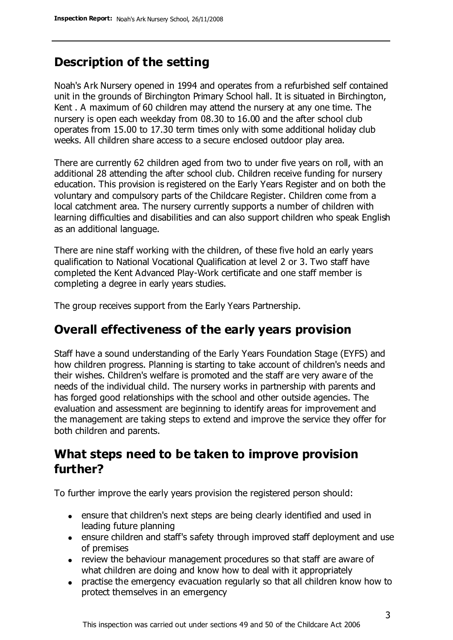## **Description of the setting**

Noah's Ark Nursery opened in 1994 and operates from a refurbished self contained unit in the grounds of Birchington Primary School hall. It is situated in Birchington, Kent . A maximum of 60 children may attend the nursery at any one time. The nursery is open each weekday from 08.30 to 16.00 and the after school club operates from 15.00 to 17.30 term times only with some additional holiday club weeks. All children share access to a secure enclosed outdoor play area.

There are currently 62 children aged from two to under five years on roll, with an additional 28 attending the after school club. Children receive funding for nursery education. This provision is registered on the Early Years Register and on both the voluntary and compulsory parts of the Childcare Register. Children come from a local catchment area. The nursery currently supports a number of children with learning difficulties and disabilities and can also support children who speak English as an additional language.

There are nine staff working with the children, of these five hold an early years qualification to National Vocational Qualification at level 2 or 3. Two staff have completed the Kent Advanced Play-Work certificate and one staff member is completing a degree in early years studies.

The group receives support from the Early Years Partnership.

### **Overall effectiveness of the early years provision**

Staff have a sound understanding of the Early Years Foundation Stage (EYFS) and how children progress. Planning is starting to take account of children's needs and their wishes. Children's welfare is promoted and the staff are very aware of the needs of the individual child. The nursery works in partnership with parents and has forged good relationships with the school and other outside agencies. The evaluation and assessment are beginning to identify areas for improvement and the management are taking steps to extend and improve the service they offer for both children and parents.

### **What steps need to be taken to improve provision further?**

To further improve the early years provision the registered person should:

- ensure that children's next steps are being clearly identified and used in leading future planning
- ensure children and staff's safety through improved staff deployment and use of premises
- review the behaviour management procedures so that staff are aware of what children are doing and know how to deal with it appropriately
- practise the emergency evacuation regularly so that all children know how to protect themselves in an emergency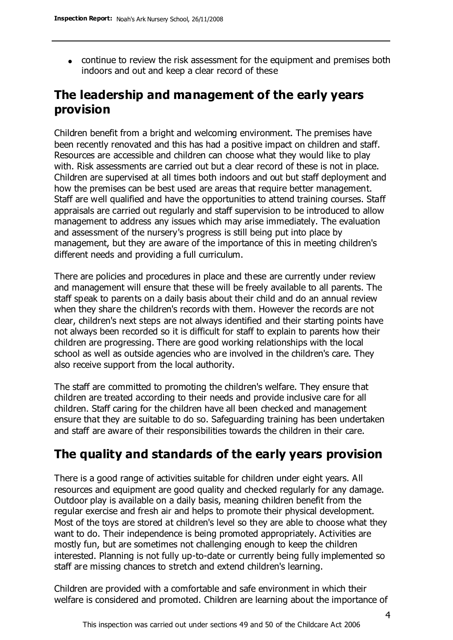continue to review the risk assessment for the equipment and premises both indoors and out and keep a clear record of these

### **The leadership and management of the early years provision**

Children benefit from a bright and welcoming environment. The premises have been recently renovated and this has had a positive impact on children and staff. Resources are accessible and children can choose what they would like to play with. Risk assessments are carried out but a clear record of these is not in place. Children are supervised at all times both indoors and out but staff deployment and how the premises can be best used are areas that require better management. Staff are well qualified and have the opportunities to attend training courses. Staff appraisals are carried out regularly and staff supervision to be introduced to allow management to address any issues which may arise immediately. The evaluation and assessment of the nursery's progress is still being put into place by management, but they are aware of the importance of this in meeting children's different needs and providing a full curriculum.

There are policies and procedures in place and these are currently under review and management will ensure that these will be freely available to all parents. The staff speak to parents on a daily basis about their child and do an annual review when they share the children's records with them. However the records are not clear, children's next steps are not always identified and their starting points have not always been recorded so it is difficult for staff to explain to parents how their children are progressing. There are good working relationships with the local school as well as outside agencies who are involved in the children's care. They also receive support from the local authority.

The staff are committed to promoting the children's welfare. They ensure that children are treated according to their needs and provide inclusive care for all children. Staff caring for the children have all been checked and management ensure that they are suitable to do so. Safeguarding training has been undertaken and staff are aware of their responsibilities towards the children in their care.

### **The quality and standards of the early years provision**

There is a good range of activities suitable for children under eight years. All resources and equipment are good quality and checked regularly for any damage. Outdoor play is available on a daily basis, meaning children benefit from the regular exercise and fresh air and helps to promote their physical development. Most of the toys are stored at children's level so they are able to choose what they want to do. Their independence is being promoted appropriately. Activities are mostly fun, but are sometimes not challenging enough to keep the children interested. Planning is not fully up-to-date or currently being fully implemented so staff are missing chances to stretch and extend children's learning.

Children are provided with a comfortable and safe environment in which their welfare is considered and promoted. Children are learning about the importance of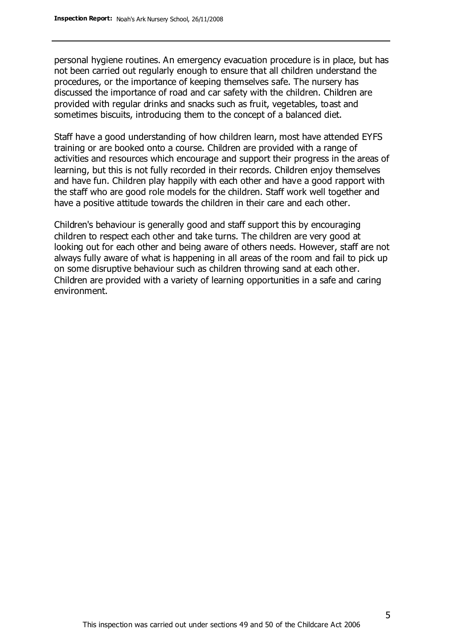personal hygiene routines. An emergency evacuation procedure is in place, but has not been carried out regularly enough to ensure that all children understand the procedures, or the importance of keeping themselves safe. The nursery has discussed the importance of road and car safety with the children. Children are provided with regular drinks and snacks such as fruit, vegetables, toast and sometimes biscuits, introducing them to the concept of a balanced diet.

Staff have a good understanding of how children learn, most have attended EYFS training or are booked onto a course. Children are provided with a range of activities and resources which encourage and support their progress in the areas of learning, but this is not fully recorded in their records. Children enjoy themselves and have fun. Children play happily with each other and have a good rapport with the staff who are good role models for the children. Staff work well together and have a positive attitude towards the children in their care and each other.

Children's behaviour is generally good and staff support this by encouraging children to respect each other and take turns. The children are very good at looking out for each other and being aware of others needs. However, staff are not always fully aware of what is happening in all areas of the room and fail to pick up on some disruptive behaviour such as children throwing sand at each other. Children are provided with a variety of learning opportunities in a safe and caring environment.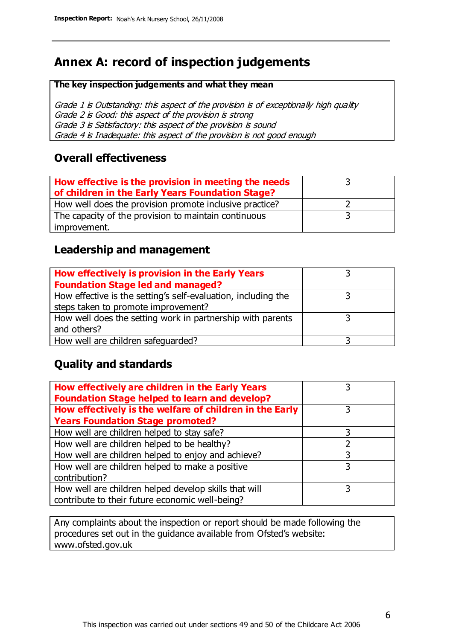# **Annex A: record of inspection judgements**

#### **The key inspection judgements and what they mean**

Grade 1 is Outstanding: this aspect of the provision is of exceptionally high quality Grade 2 is Good: this aspect of the provision is strong Grade 3 is Satisfactory: this aspect of the provision is sound Grade 4 is Inadequate: this aspect of the provision is not good enough

#### **Overall effectiveness**

| How effective is the provision in meeting the needs<br>of children in the Early Years Foundation Stage? |  |
|---------------------------------------------------------------------------------------------------------|--|
| How well does the provision promote inclusive practice?                                                 |  |
| The capacity of the provision to maintain continuous                                                    |  |
| improvement.                                                                                            |  |

#### **Leadership and management**

| How effectively is provision in the Early Years               |  |
|---------------------------------------------------------------|--|
| <b>Foundation Stage led and managed?</b>                      |  |
| How effective is the setting's self-evaluation, including the |  |
| steps taken to promote improvement?                           |  |
| How well does the setting work in partnership with parents    |  |
| and others?                                                   |  |
| How well are children safeguarded?                            |  |

### **Quality and standards**

| How effectively are children in the Early Years<br><b>Foundation Stage helped to learn and develop?</b> |   |
|---------------------------------------------------------------------------------------------------------|---|
| How effectively is the welfare of children in the Early                                                 | 3 |
| <b>Years Foundation Stage promoted?</b>                                                                 |   |
| How well are children helped to stay safe?                                                              |   |
| How well are children helped to be healthy?                                                             |   |
| How well are children helped to enjoy and achieve?                                                      | 3 |
| How well are children helped to make a positive                                                         | 3 |
| contribution?                                                                                           |   |
| How well are children helped develop skills that will                                                   |   |
| contribute to their future economic well-being?                                                         |   |

Any complaints about the inspection or report should be made following the procedures set out in the guidance available from Ofsted's website: www.ofsted.gov.uk